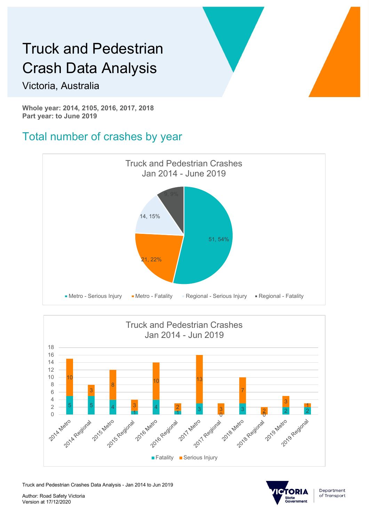#### Victoria, Australia

Whole year: 2014, 2105, 2016, 2017, 2018 Part year: to June 2019

#### Total number of crashes by year





Truck and Pedestrian Crashes Data Analysis - Jan 2014 to Jun 2019



Author: Road Safety Victoria Version at 17/12/2020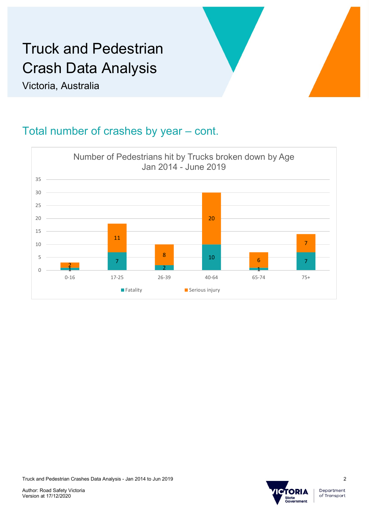Victoria, Australia

#### Total number of crashes by year – cont.





Department of Transport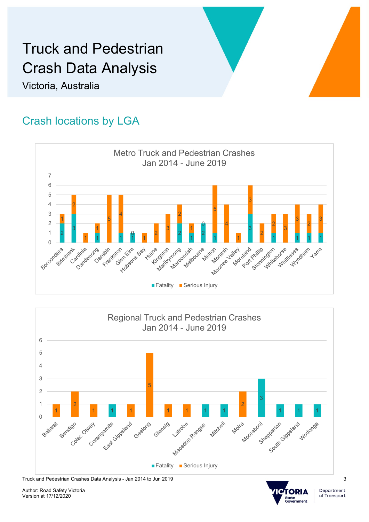Victoria, Australia

#### Crash locations by LGA





Truck and Pedestrian Crashes Data Analysis - Jan 2014 to Jun 2019

Author: Road Safety Victoria Version at 17/12/2020



Department of Transport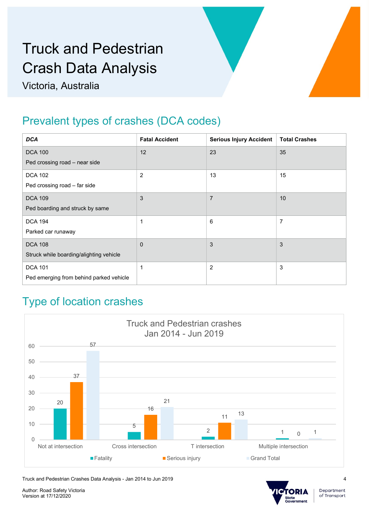Victoria, Australia

### Prevalent types of crashes (DCA codes)

| <b>DCA</b>                                                 | <b>Fatal Accident</b> | <b>Serious Injury Accident</b> | <b>Total Crashes</b> |
|------------------------------------------------------------|-----------------------|--------------------------------|----------------------|
| <b>DCA 100</b>                                             | 12                    | 23                             | 35                   |
| Ped crossing road - near side                              |                       |                                |                      |
| <b>DCA 102</b>                                             | $\overline{2}$        | 13                             | 15                   |
| Ped crossing road - far side                               |                       |                                |                      |
| <b>DCA 109</b>                                             | 3                     | $\overline{7}$                 | 10                   |
| Ped boarding and struck by same                            |                       |                                |                      |
| <b>DCA 194</b>                                             | $\mathbf 1$           | 6                              | $\overline{7}$       |
| Parked car runaway                                         |                       |                                |                      |
| <b>DCA 108</b>                                             | $\mathbf{0}$          | $\mathbf{3}$                   | 3                    |
| Struck while boarding/alighting vehicle                    |                       |                                |                      |
| <b>DCA 101</b>                                             | $\mathbf 1$           | $\overline{c}$                 | 3                    |
| Ped emerging from behind parked vehicle                    |                       |                                |                      |
| <b>Type of location crashes</b>                            |                       |                                |                      |
| <b>Truck and Pedestrian crashes</b><br>Jan 2014 - Jun 2019 |                       |                                |                      |
| 57<br>60                                                   |                       |                                |                      |
| 50                                                         |                       |                                |                      |
| $\sim$ $-$                                                 |                       |                                |                      |

#### Type of location crashes



Truck and Pedestrian Crashes Data Analysis - Jan 2014 to Jun 2019

Author: Road Safety Victoria Version at 17/12/2020